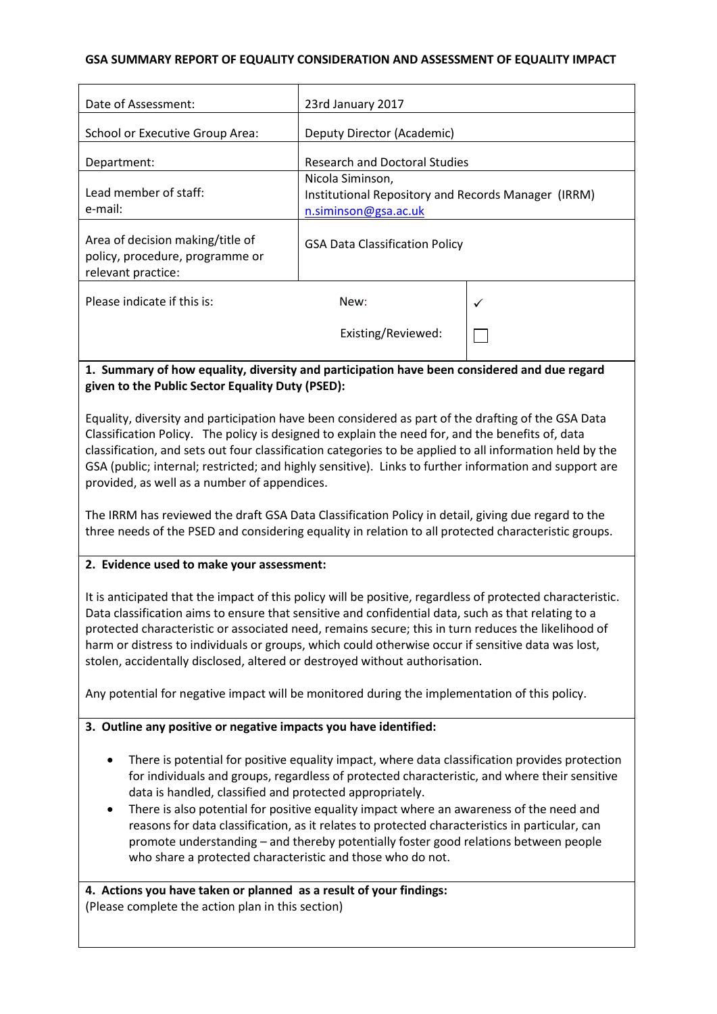### **GSA SUMMARY REPORT OF EQUALITY CONSIDERATION AND ASSESSMENT OF EQUALITY IMPACT**

| Date of Assessment:                                                                       | 23rd January 2017                                                                               |   |
|-------------------------------------------------------------------------------------------|-------------------------------------------------------------------------------------------------|---|
| School or Executive Group Area:                                                           | Deputy Director (Academic)                                                                      |   |
| Department:                                                                               | <b>Research and Doctoral Studies</b>                                                            |   |
| Lead member of staff:<br>e-mail:                                                          | Nicola Siminson,<br>Institutional Repository and Records Manager (IRRM)<br>n.siminson@gsa.ac.uk |   |
| Area of decision making/title of<br>policy, procedure, programme or<br>relevant practice: | <b>GSA Data Classification Policy</b>                                                           |   |
| Please indicate if this is:                                                               | New:                                                                                            | ✓ |
|                                                                                           | Existing/Reviewed:                                                                              |   |

# **1. Summary of how equality, diversity and participation have been considered and due regard given to the Public Sector Equality Duty (PSED):**

Equality, diversity and participation have been considered as part of the drafting of the GSA Data Classification Policy. The policy is designed to explain the need for, and the benefits of, data classification, and sets out four classification categories to be applied to all information held by the GSA (public; internal; restricted; and highly sensitive). Links to further information and support are provided, as well as a number of appendices.

The IRRM has reviewed the draft GSA Data Classification Policy in detail, giving due regard to the three needs of the PSED and considering equality in relation to all protected characteristic groups.

# **2. Evidence used to make your assessment:**

It is anticipated that the impact of this policy will be positive, regardless of protected characteristic. Data classification aims to ensure that sensitive and confidential data, such as that relating to a protected characteristic or associated need, remains secure; this in turn reduces the likelihood of harm or distress to individuals or groups, which could otherwise occur if sensitive data was lost, stolen, accidentally disclosed, altered or destroyed without authorisation.

Any potential for negative impact will be monitored during the implementation of this policy.

# **3. Outline any positive or negative impacts you have identified:**

- There is potential for positive equality impact, where data classification provides protection for individuals and groups, regardless of protected characteristic, and where their sensitive data is handled, classified and protected appropriately.
- There is also potential for positive equality impact where an awareness of the need and reasons for data classification, as it relates to protected characteristics in particular, can promote understanding – and thereby potentially foster good relations between people who share a protected characteristic and those who do not.

**4. Actions you have taken or planned as a result of your findings:** (Please complete the action plan in this section)